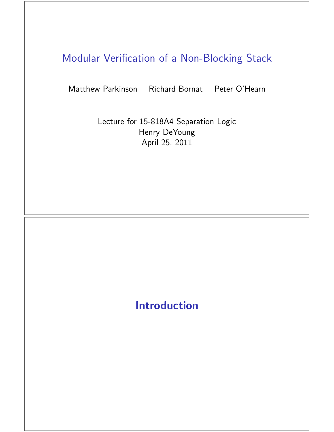## Modular Verification of a Non-Blocking Stack

Matthew Parkinson Richard Bornat Peter O'Hearn

Lecture for 15-818A4 Separation Logic Henry DeYoung April 25, 2011

### Introduction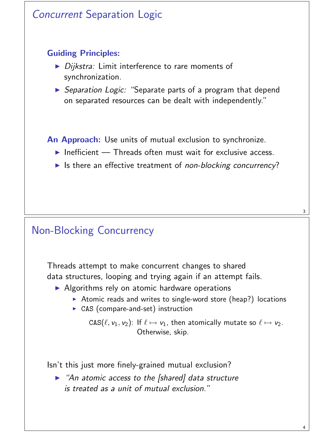# Concurrent Separation Logic Guiding Principles:  $\triangleright$  Dijkstra: Limit interference to rare moments of synchronization. **>** Separation Logic: "Separate parts of a program that depend on separated resources can be dealt with independently." An Approach: Use units of mutual exclusion to synchronize.  $\blacktriangleright$  Inefficient — Threads often must wait for exclusive access. In Its there an effective treatment of non-blocking concurrency?

### Non-Blocking Concurrency

Threads attempt to make concurrent changes to shared data structures, looping and trying again if an attempt fails.

- $\triangleright$  Algorithms rely on atomic hardware operations
	- Atomic reads and writes to single-word store (heap?) locations
	- $\triangleright$  CAS (compare-and-set) instruction

```
\texttt{CAS}(\ell, \nu_1, \nu_2): If \ell \mapsto \nu_1, then atomically mutate so \ell \mapsto \nu_2.Otherwise, skip.
```
Isn't this just more finely-grained mutual exclusion?

 $\blacktriangleright$  "An atomic access to the [shared] data structure is treated as a unit of mutual exclusion."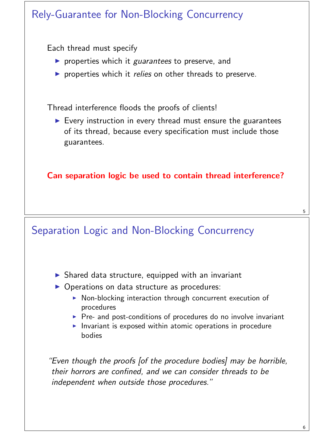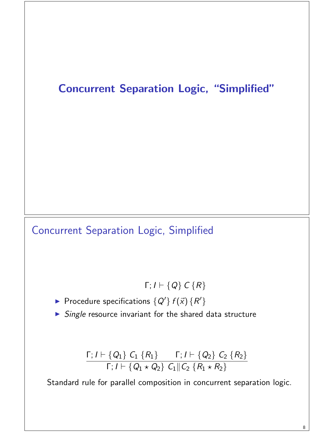### Concurrent Separation Logic, "Simplified"

### Concurrent Separation Logic, Simplified

- Γ;  $I \vdash \{Q\}$   $C \{R\}$
- Procedure specifications  $\{Q'\} f(\vec{x}) \{R'\}$
- $\triangleright$  Single resource invariant for the shared data structure

$$
\frac{\Gamma; I \vdash \{Q_1\} \ C_1 \{R_1\} \Gamma; I \vdash \{Q_2\} \ C_2 \{R_2\}}{\Gamma; I \vdash \{Q_1 \star Q_2\} \ C_1 || C_2 \{R_1 \star R_2\}}
$$

Standard rule for parallel composition in concurrent separation logic.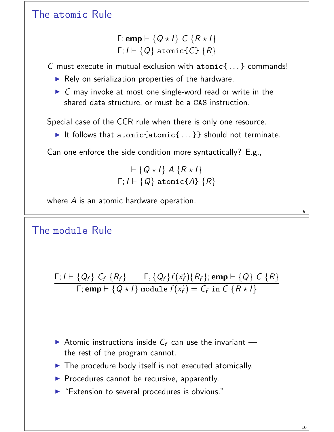#### The atomic Rule

$$
\frac{\Gamma; \mathbf{emp} \vdash \{Q \star I\} \ C \ \{R \star I\}}{\Gamma; I \vdash \{Q\} \ \mathtt{atomic}\{C\} \ \{R\}}
$$

C must execute in mutual exclusion with atomic{ . . . } commands!

- $\blacktriangleright$  Rely on serialization properties of the hardware.
- $\triangleright$  C may invoke at most one single-word read or write in the shared data structure, or must be a CAS instruction.

Special case of the CCR rule when there is only one resource.

It follows that atomic $\{... \}$  should not terminate.

Can one enforce the side condition more syntactically? E.g.,

$$
\frac{\vdash \{Q \star I\} \ A \ \{R \star I\}}{\Gamma; I \vdash \{Q\} \ \texttt{atomic} \{A\} \ \{R\}}
$$

where A is an atomic hardware operation.

The module\n
$$
\begin{array}{ll}\n\text{The module} \\
\frac{\Gamma; I \vdash \{Q_f\} \ C_f \ \{R_f\} \quad \Gamma, \{Q_f\} f(\vec{x_f}) \{R_f\}; \text{emp} \vdash \{Q\} \ C \ \{R\}}{\Gamma; \text{emp} \vdash \{Q \star I\} \ \text{module} \ f(\vec{x_f}) = C_f \ \text{in} \ C \ \{R \star I\}}\n\end{array}
$$

- Atomic instructions inside  $C_f$  can use the invariant the rest of the program cannot.
- $\blacktriangleright$  The procedure body itself is not executed atomically.
- $\triangleright$  Procedures cannot be recursive, apparently.
- "Extension to several procedures is obvious."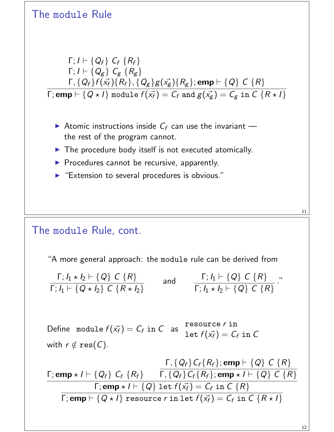

#### The module Rule, cont.

"A more general approach: the module rule can be derived from

$$
\frac{\Gamma; I_1 \star I_2 \vdash \{Q\} \ C \ \{R\}}{\Gamma; I_1 \vdash \{Q \star I_2\} \ C \ \{R \star I_2\}} \quad \text{and} \quad \frac{\Gamma; I_1 \vdash \{Q\} \ C \ \{R\}}{\Gamma; I_1 \star I_2 \vdash \{Q\} \ C \ \{R\}} \ .
$$

Define module  $f(\vec{\varkappa_f})=C_f$  in  $C$  as resource r in let  $f(\vec{\mathsf{x}_f})=\mathsf{C}_f$  in  $\mathsf{C}$ with  $r \notin \text{res}(C)$ .

$$
\frac{\Gamma, \{Q_f\} C_f \{R_f\}; \text{emp} \vdash \{Q\} C \{R\}}{\Gamma; \text{emp} \star I \vdash \{Q_f\} C_f \{R_f\}} \frac{\Gamma, \{Q_f\} C_f \{R_f\}; \text{emp} \star I \vdash \{Q\} C \{R\}}{\Gamma; \text{emp} \star I \vdash \{Q\} \text{ let } f(\vec{x_f}) = C_f \text{ in } C \{R\}}
$$
\n
$$
\frac{\Gamma; \text{emp} \star I \vdash \{Q\} \text{ let } f(\vec{x_f}) = C_f \text{ in } C \{R\}}{\Gamma; \text{emp} \vdash \{Q \star I\} \text{ resource } r \text{ in } \text{let } f(\vec{x_f}) = C_f \text{ in } C \{R \star I\}}
$$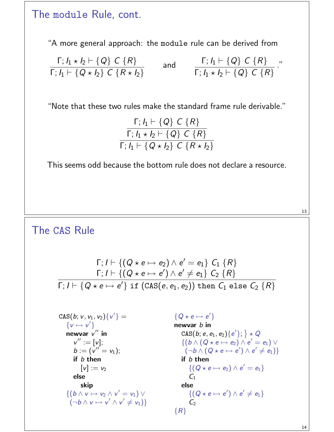#### The module Rule, cont.

"A more general approach: the module rule can be derived from

$$
\frac{\Gamma; I_1 \star I_2 \vdash \{Q\} \ C \{R\}}{\Gamma; I_1 \vdash \{Q \star I_2\} \ C \{R \star I_2\}} \quad \text{and} \quad \frac{\Gamma; I_1 \vdash \{Q\} \ C \{R\}}{\Gamma; I_1 \star I_2 \vdash \{Q\} \ C \{R\}} \ .
$$

"Note that these two rules make the standard frame rule derivable."

$$
\frac{\Gamma; I_1 \vdash \{Q\} \ C \{R\}}{\Gamma; I_1 \star I_2 \vdash \{Q\} \ C \{R\}}
$$
\n
$$
\Gamma; I_1 \vdash \{Q \star I_2\} \ C \{R \star I_2\}
$$

This seems odd because the bottom rule does not declare a resource.

13

#### The CAS Rule

$$
\Gamma; I \vdash \{(Q \star e \mapsto e_2) \land e' = e_1\} \ C_1 \ R\}
$$
\n
$$
\Gamma; I \vdash \{(Q \star e \mapsto e') \land e' \neq e_1\} \ C_2 \ R\}
$$
\n
$$
\Gamma; I \vdash \{Q \star e \mapsto e'\} \text{ if } (CAS(e, e_1, e_2)) \text{ then } C_1 \text{ else } C_2 \ R\}
$$

$$
CAS(b; v, v_1, v_2){v'} =
$$
\n
$$
{v \mapsto v'}
$$
\nnewvar v" in\n
$$
v" := [v];
$$
\n
$$
b := (v" = v_1);
$$
\nif b then\n
$$
[v] := v_2
$$
\nelse\n
$$
skip
$$
\n
$$
{(b \wedge v \mapsto v_2 \wedge v' = v_1) \vee (-b \wedge v \mapsto v' \wedge v' \neq v_1)}
$$

 ${Q \star e \mapsto e'}$ newvar *b* in  $\text{CAS}(b; e, e_1, e_2)\{e'\}; \} \star Q$  $\{(\overline{b} \wedge (\overline{Q} \star e \mapsto e_2) \wedge e' = e_1) \vee$  $(\neg b \land (Q \star e \mapsto e') \land e' \neq e_1)\}$ if b then  $\{(\mathsf{Q}\star\mathsf{e}\mapsto\mathsf{e}_2)\wedge\mathsf{e}'=\mathsf{e}_1\}$  $C<sub>1</sub>$ else  $\{(\mathsf{Q}\star\mathsf{e}\mapsto\mathsf{e}')\wedge\mathsf{e}'\neq\mathsf{e}_1\}$  $C<sub>2</sub>$  ${R}$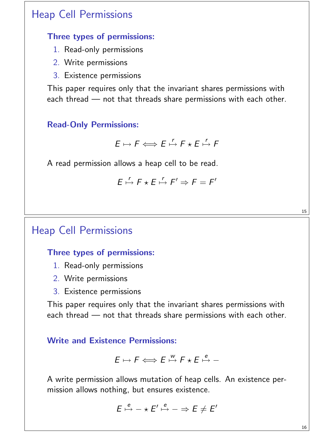### Heap Cell Permissions

#### Three types of permissions:

- 1. Read-only permissions
- 2. Write permissions
- 3. Existence permissions

This paper requires only that the invariant shares permissions with each thread — not that threads share permissions with each other.

#### Read-Only Permissions:

$$
E \mapsto F \Longleftrightarrow E \stackrel{r}{\mapsto} F \star E \stackrel{r}{\mapsto} F
$$

A read permission allows a heap cell to be read.

$$
E \stackrel{r}{\mapsto} F \star E \stackrel{r}{\mapsto} F' \Rightarrow F = F'
$$

### Heap Cell Permissions

#### Three types of permissions:

- 1. Read-only permissions
- 2. Write permissions
- 3. Existence permissions

This paper requires only that the invariant shares permissions with each thread — not that threads share permissions with each other.

#### Write and Existence Permissions:

$$
E \mapsto F \Longleftrightarrow E \stackrel{w}{\mapsto} F \star E \stackrel{e}{\mapsto} -
$$

A write permission allows mutation of heap cells. An existence permission allows nothing, but ensures existence.

$$
E \stackrel{e}{\mapsto} - \star E' \stackrel{e}{\mapsto} - \Rightarrow E \neq E'
$$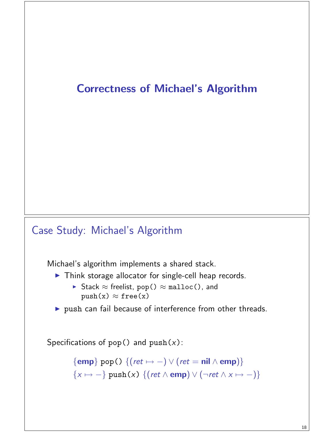### Correctness of Michael's Algorithm

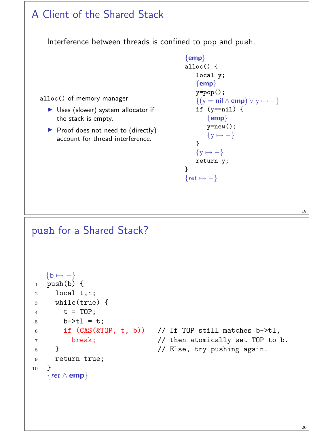#### A Client of the Shared Stack Interference between threads is confined to pop and push. alloc() of memory manager:  $\triangleright$  Uses (slower) system allocator if the stack is empty.  $\triangleright$  Proof does not need to (directly) account for thread interference.  $\{emp\}$ alloc() { local y;  $\{emp\}$ y=pop();  $\{(y = \textbf{nil} \wedge \textbf{emp}) \vee y \mapsto -\}$ if  $(y == nil)$  {  $\{emp\}$  $y=new()$ ;  $\{y \mapsto -\}$ }  $\{y \mapsto -\}$ return y; }  $\{ret \mapsto -\}$

19

#### push for a Shared Stack?

```
{b \mapsto -}1 push(b) \{2 local t,n;
3 while(true) {
4 t = TOP;5 b->tl = t;
6 if (CAS(\&TOP, t, b)) // If TOP still matches b->tl,
7 break; // then atomically set TOP to b.
8 } <br> (a) \frac{1}{2} // Else, try pushing again.
9 return true;
10 }
   {ret ∧ emp}
```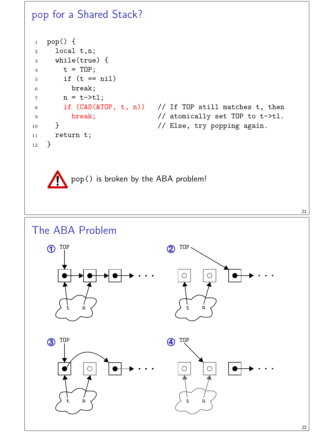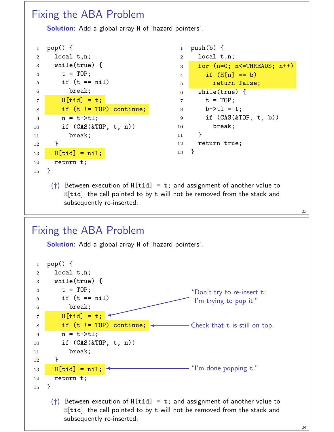#### Fixing the ABA Problem

Solution: Add a global array H of 'hazard pointers'.

| $\mathbf{1}$   | $pop() \{$                |
|----------------|---------------------------|
| 2              | local t, n;               |
| 3              | while( $true$ ) {         |
| $\overline{4}$ | $t = TOP;$                |
| 5              | if $(t == nil)$           |
| 6              | break;                    |
| 7              | $H[tid] = t;$             |
| 8              | if $(t$ != TOP) continue; |
| 9              | n = t->tl;                |
| 10             | if $(CAS(\&TOP, t, n))$   |
| 11             | break;                    |
| 12             | $\mathcal{F}$             |
| 13             | $H[tid] = nil;$           |
| 14             | return t;                 |
| 15             | Ł                         |

```
1 push(b) {
2 local t,n;
3 for (n=0; n<=THREADS; n++)
4 if (H[n] == b)5 FRIGHT TELES return false;
6 while(true) {
7 \quad t = TOP;8 b->tl = t;
9 if (CAS(&TOP, t, b))
10 break;
11 }
12 return true;
13 }
```
 $(+)$  Between execution of H[tid] = t; and assignment of another value to H[tid], the cell pointed to by t will not be removed from the stack and subsequently re-inserted.

### Fixing the ABA Problem

Solution: Add a global array H of 'hazard pointers'.

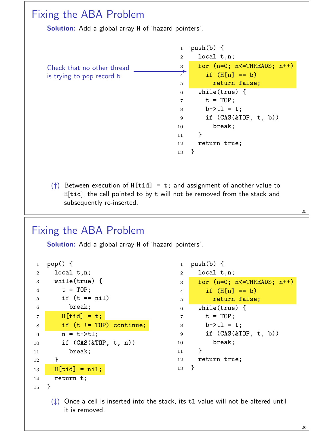#### Fixing the ABA Problem Solution: Add a global array H of 'hazard pointers'. Check that no other thread is trying to pop record b. 1 push $(b)$  { local t,n; for (n=0; n<=THREADS; n++) if  $(H[n] == b)$ **FRIGHT TELES return false;**  while(true) {  $7 \quad t = TOP;$  b->tl = t; if (CAS(&TOP, t, b)) break;  $11 \quad \frac{1}{2}$  return true; }

(†) Between execution of H[tid] = t; and assignment of another value to H[tid], the cell pointed to by t will not be removed from the stack and subsequently re-inserted.

#### 

#### Fixing the ABA Problem

Solution: Add a global array H of 'hazard pointers'.

```
1 pop() {
2 local t,n;
3 while(true) {
4 t = TOP;5 if (t == nil)6 break;
7 H[tid] = t;8 if (t != TOP) continue;
9 n = t - \gt t1;10 if (CAS(&TOP, t, n))
11 break;
12 }
13 H[tid] = nil;
14 return t;
15 }
```

```
1 push(b) {
2 local t,n;
3 for (n=0; n<=THREADS; n++)
4 if (H[n] == b)5 Fig. 1.12 return false;
6 while(true) {
\tau t = TOP;
8 b->tl = t;
9 if (CAS(&TOP, t, b))
10 break;
11 \quad \frac{1}{2}12 return true;
13 }
```
 $(\ddagger)$  Once a cell is inserted into the stack, its t1 value will not be altered until it is removed.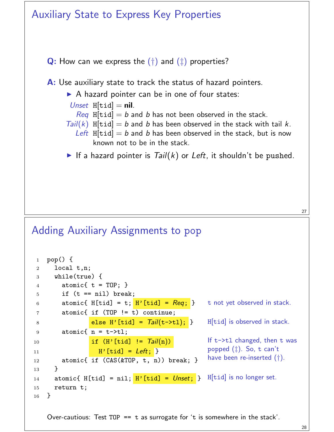

Over-cautious: Test TOP  $==$  t as surrogate for 't is somewhere in the stack'.

14 atomic{ H[tid] =  $\texttt{nil}$ ;  $\texttt{H}'$  [tid] =  $\texttt{Unset}$ ;  $\}$  H[tid] is no longer set.

<sup>13</sup> }

<sup>16</sup> }

<sup>15</sup> return t;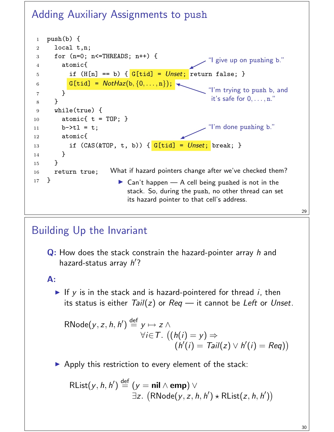### Adding Auxiliary Assignments to push



### Building Up the Invariant

Q: How does the stack constrain the hazard-pointer array h and hazard-status array  $h'$ ?

#### A:

If y is in the stack and is hazard-pointered for thread  $i$ , then its status is either  $Tail(z)$  or  $Req$  — it cannot be Left or Unset.

$$
\begin{array}{ll}\n\text{RNode}(y, z, h, h') \stackrel{\text{def}}{=} y \mapsto z \land \\
\forall i \in T. \ ((h(i) = y) \Rightarrow \\
(h'(i) = Tail(z) \lor h'(i) = Reg))\n\end{array}
$$

 $\triangleright$  Apply this restriction to every element of the stack:

 $\mathsf{RList}(y, h, h') \stackrel{\mathsf{def}}{=} (\mathsf{y} = \mathsf{nil} \wedge \mathsf{emp}) \vee$  $\exists z. (RNode(y, z, h, h') \star RList(z, h, h'))$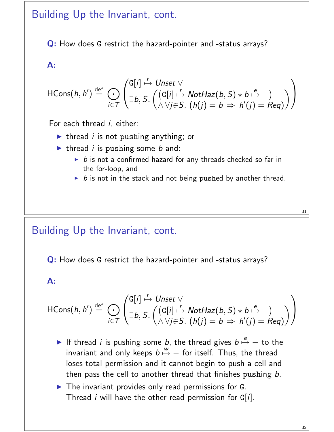#### Building Up the Invariant, cont.

Q: How does G restrict the hazard-pointer and -status arrays?

#### A:

$$
\mathsf{HCons}(h,h') \stackrel{\mathrm{def}}{=} \bigodot_{i \in \mathcal{T}} \left( \begin{matrix} \mathsf{G}[i] & \stackrel{r}{\mapsto} \mathsf{Unset} \ \forall \\ \exists b, S. \ \big( \begin{matrix} (\mathsf{G}[i] & \stackrel{r}{\mapsto} \mathsf{NotHaz}(b,S) \star b \stackrel{e}{\mapsto} -) \\ \wedge \forall j \in \mathcal{S}. \ (h(j) = b \Rightarrow h'(j) = \mathsf{Reg}) \end{matrix} \end{matrix} \right)
$$

For each thread *i*, either:

- Intertherend i is not pushing anything; or
- $\blacktriangleright$  thread *i* is pushing some *b* and:
	- $\triangleright$  b is not a confirmed hazard for any threads checked so far in the for-loop, and
	- $\triangleright$  b is not in the stack and not being pushed by another thread.

#### Building Up the Invariant, cont.

Q: How does G restrict the hazard-pointer and -status arrays?

#### A:

$$
\mathsf{HCons}(h,h') \stackrel{\mathrm{def}}{=} \bigodot_{i \in \mathcal{T}} \left( \begin{matrix} \mathsf{G}[i] & \stackrel{r}{\mapsto} \mathsf{Unset} \ \forall \\ \exists b, S. \ \big( \begin{matrix} (\mathsf{G}[i] & \stackrel{r}{\mapsto} \mathsf{NotHaz}(b,S) \star b \stackrel{e}{\mapsto} -) \\ \wedge \forall j \in \mathcal{S}. \ (h(j) = b \Rightarrow h'(j) = \mathsf{Reg}) \end{matrix} \end{matrix} \right)
$$

- If thread *i* is pushing some *b*, the thread gives  $b \stackrel{e}{\mapsto} -$  to the invariant and only keeps  $b \stackrel{w}{\mapsto} -$  for itself. Thus, the thread loses total permission and it cannot begin to push a cell and then pass the cell to another thread that finishes pushing b.
- $\blacktriangleright$  The invariant provides only read permissions for G. Thread *i* will have the other read permission for  $G[i]$ .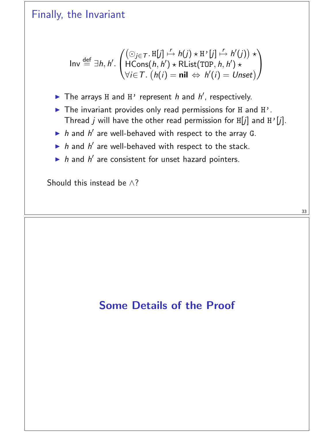#### Finally, the Invariant

$$
\text{Inv} \stackrel{\text{def}}{=} \exists h, h'. \begin{pmatrix} (\bigcirc_{j \in \mathcal{T}} \cdot \text{H}[j] \stackrel{r}{\mapsto} h(j) \star \text{H'}[j] \stackrel{r}{\mapsto} h'(j)) \star \\ \text{HCons}(h, h') \star \text{RList(TOP}, h, h') \star \\ \forall i \in \mathcal{T} \cdot (h(i) = \text{nil} \Leftrightarrow h'(i) = \text{Unset}) \end{pmatrix}
$$

- The arrays H and H' represent h and  $h'$ , respectively.
- $\blacktriangleright$  The invariant provides only read permissions for H and H'. Thread j will have the other read permission for  $H[j]$  and  $H'[j]$ .
- $\triangleright$  h and h' are well-behaved with respect to the array G.
- $\triangleright$  h and h' are well-behaved with respect to the stack.
- $\blacktriangleright$  h and h' are consistent for unset hazard pointers.

Should this instead be  $\wedge$ ?

### Some Details of the Proof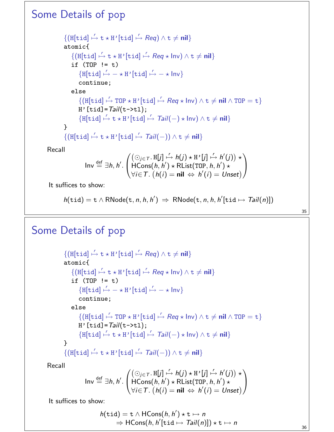#### Some Details of pop

$$
\{(\text{H}[tid] \xrightarrow{r} t \star \text{H} \cdot [\text{tid}] \xrightarrow{r} \text{Reg}) \land t \neq \text{nil}\}
$$
\n
$$
\text{atomic}\{(\text{H}[tid] \xrightarrow{r} t \star \text{H} \cdot [\text{tid}] \xrightarrow{r} \text{Reg} \star \text{Inv}) \land t \neq \text{nil}\}
$$
\n
$$
\text{if (TOP != t)} \{(\text{H}[tid] \xrightarrow{r} - \star \text{H} \cdot [\text{tid}] \xrightarrow{r} - \star \text{Inv}\})
$$
\n
$$
\text{continue;}
$$
\n
$$
\text{else} \{(\text{H}[tid] \xrightarrow{r} \text{TOP} \star \text{H} \cdot [\text{tid}] \xrightarrow{r} \text{Reg} \star \text{Inv}) \land t \neq \text{nil} \land \text{TOP} = t\}
$$
\n
$$
\text{H} \cdot [\text{tid}] = \text{Tail}(t - \text{xt}),
$$
\n
$$
\{(\text{H}[tid] \xrightarrow{r} t \star \text{H} \cdot [\text{tid}] \xrightarrow{r} \text{Tail}(-) \star \text{Inv}) \land t \neq \text{nil}\}
$$
\n
$$
\{(\text{H}[tid] \xrightarrow{r} t \star \text{H} \cdot [\text{tid}] \xrightarrow{r} \text{Tail}(-)) \land t \neq \text{nil}\}
$$

Recall

$$
\mathsf{Inv} \stackrel{\text{def}}{=} \exists h, h' \cdot \begin{pmatrix} (\bigcirc_{j \in \mathcal{T}} \cdot \mathsf{H}[j] \stackrel{\mathsf{r}}{\mapsto} h(j) \star \mathsf{H}^{\mathsf{r}}[j] \stackrel{\mathsf{r}}{\mapsto} h'(j)) \star \\ \mathsf{HCons}(h, h') \star \mathsf{RList}(\mathsf{TOP}, h, h') \star \\ \forall i \in \mathcal{T} \cdot (h(i) = \mathsf{nil} \Leftrightarrow h'(i) = \mathsf{Unset}) \end{pmatrix}
$$

It suffices to show:

$$
h(\mathtt{tid}) = \mathtt{t} \wedge \mathsf{RNode}(\mathtt{t}, n, h, h') \Rightarrow \mathsf{RNode}(\mathtt{t}, n, h, h'[\mathtt{tid} \mapsto \mathsf{Tail}(n)])
$$

35

#### Some Details of pop

 $\{(\text{H}[\texttt{tid}] \stackrel{r}{\mapsto} \texttt{t} \star \texttt{H'}[\texttt{tid}] \stackrel{r}{\mapsto} \textit{Req}) \land \texttt{t} \neq \textsf{nil}\}$ atomic{  $\{(\text{H}[\texttt{tid}] \stackrel{r}{\mapsto} \texttt{t} \star \texttt{H'}[\texttt{tid}] \stackrel{r}{\mapsto} \textit{Req} \star \textsf{Inv}) \land \texttt{t} \neq \textsf{nil}\}$ if  $(TOP := t)$  $\{H[tid] \stackrel{r}{\mapsto} - \star H'[tid] \stackrel{r}{\mapsto} - \star Inv\}$ continue; else  $\{(\text{H}[\texttt{tid}] \stackrel{r}{\mapsto} \texttt{TOP} \star \texttt{H'}[\texttt{tid}] \stackrel{r}{\mapsto} \textit{Req} \star \textsf{Inv}) \land \texttt{t} \neq \textsf{nil} \land \texttt{TOP} = \texttt{t}\}$  $H'[tid] = Tail(t->tl);$  $\{H[tid] \stackrel{r}{\mapsto} t \star H' [tid] \stackrel{r}{\mapsto} Tail(-) \star Inv) \wedge t \neq nil\}$ }  $\{(\text{H}[\texttt{tid}] \stackrel{r}{\mapsto} \texttt{t} \star \texttt{H'}[\texttt{tid}] \stackrel{r}{\mapsto} \textit{Tail}(-)) \wedge \texttt{t} \neq \textbf{nil}\}$ 

Recall

$$
\mathsf{Inv} \stackrel{\text{def}}{=} \exists h, h'.
$$
\n
$$
\begin{pmatrix}\n(\bigcirc_{j \in \mathcal{T}} \mathbf{.} \, \mathbf{H}[j] \stackrel{\mathsf{r}}{\mapsto} h(j) \star \mathbf{H} \, \mathsf{r}[j] \stackrel{\mathsf{r}}{\mapsto} h'(j)) \star \\
\mathsf{HCons}(h, h') \star \mathsf{RList}(\mathsf{TOP}, h, h') \star \\
\forall i \in \mathcal{T}. \ (h(i) = \mathsf{nil} \Leftrightarrow h'(i) = \mathsf{Unset}\n\end{pmatrix}
$$

It suffices to show:

$$
h(\mathtt{tid}) = \mathtt{t} \wedge \mathsf{HCons}(h, h') \star \mathtt{t} \mapsto n
$$
  
\n
$$
\Rightarrow \mathsf{HCons}(h, h'[\mathtt{tid} \mapsto \mathsf{Tail}(n)]) \star \mathtt{t} \mapsto n
$$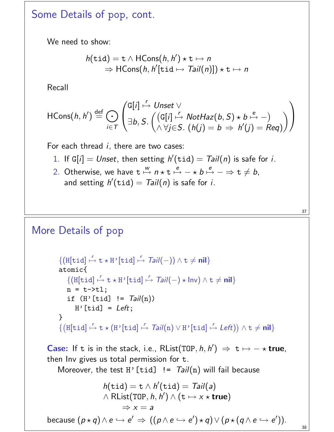#### Some Details of pop, cont.

We need to show:

$$
h(\text{tid}) = \text{t} \land \text{HCons}(h, h') \star \text{t} \mapsto n
$$
  
\n
$$
\Rightarrow \text{HCons}(h, h'[\text{tid} \mapsto \text{Tail}(n)]) \star \text{t} \mapsto n
$$

Recall

$$
\mathsf{HCons}(h,h') \stackrel{\mathrm{def}}{=} \bigodot_{i \in \mathcal{T}} \left( \begin{matrix} \mathsf{G}[i] \stackrel{r}{\mapsto} \mathsf{Unset} \ \vee \\ \exists b, S. \ \big( \begin{matrix} (\mathsf{G}[i] \stackrel{r}{\mapsto} \mathsf{NotHaz}(b,S) \star b \stackrel{e}{\mapsto} -) \\ \wedge \forall j \in S. \ (h(j) = b \Rightarrow h'(j) = Req) \end{matrix} \end{matrix} \right)
$$

For each thread  $i$ , there are two cases:

- 1. If G[i] = Unset, then setting  $h'(tid) = Tail(n)$  is safe for i.
- 2. Otherwise, we have  $t \stackrel{w}{\mapsto} n \star t \stackrel{e}{\mapsto} \star b \stackrel{e}{\mapsto} \Rightarrow t \neq b$ , and setting  $h'(\text{tid}) = \text{Tail}(n)$  is safe for i.

#### More Details of pop

```
{([\text{H}[\text{tid}]\stackrel{r}{\mapsto} \text{t} \star \text{H}^{\prime}[\text{tid}]\stackrel{r}{\mapsto} \text{Tail}(-)) \wedge \text{t} \neq \text{nil}}atomic{
       {(\text{H}[\texttt{tid}]\stackrel{r}{\mapsto} \texttt{t} \star \texttt{H'}[\texttt{tid}]\stackrel{r}{\mapsto} \textit{Tail}(-) \star \textsf{Inv}) \wedge \texttt{t} \neq \textsf{nil}}n = t - > t];
      if (H'[tid] != Tail(n))H'[tid] = Left;
}
\{(\texttt{H}[\texttt{tid}]\stackrel{\prime}{\mapsto}\texttt{t}\star(\texttt{H'}[\texttt{tid}]\stackrel{\prime}{\mapsto}\textit{Tail(n)}\vee\texttt{H'}[\texttt{tid}]\stackrel{\prime}{\mapsto}\textit{Left}))\wedge\texttt{t}\neq\textbf{nil}\}
```
**Case:** If t is in the stack, i.e., RList(TOP,  $h, h'$ )  $\Rightarrow$  t  $\mapsto$   $\rightarrow$  **true**, then Inv gives us total permission for t.

Moreover, the test H'[tid]  $!=$  Tail(n) will fail because

$$
h(\mathtt{tid}) = \mathtt{t} \wedge h'(\mathtt{tid}) = \mathsf{Tail}(a)
$$
  

$$
\wedge \mathsf{RList}(\mathtt{TOP}, h, h') \wedge (\mathtt{t} \mapsto x \star \mathtt{true})
$$
  

$$
\Rightarrow x = a
$$
  
because  $(p \star q) \wedge e \hookrightarrow e' \Rightarrow ((p \wedge e \hookrightarrow e') \star q) \vee (p \star (q \wedge e \hookrightarrow e')).$ 

38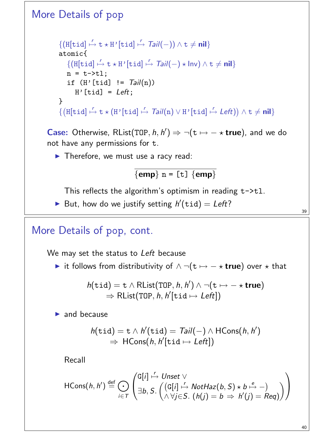### More Details of pop  ${([\text{H}[\text{tid}]\stackrel{r}{\mapsto} \text{t} \star \text{H}^{\prime}[\text{tid}]\stackrel{r}{\mapsto} \text{Tail}(-)) \wedge \text{t} \neq \text{nil}}$ atomic{  ${(\text{H}[\texttt{tid}]\stackrel{r}{\mapsto} \texttt{t} \star \texttt{H'}[\texttt{tid}]\stackrel{r}{\mapsto} \textit{Tail}(-) \star \textsf{Inv}) \wedge \texttt{t} \neq \textsf{nil}}$  $n = t - > t$ ]; if  $(H'[tid] != Tail(n))$  $H'$ [tid] = Left;

}  $\{(\texttt{H}[\texttt{tid}]\stackrel{\prime}{\mapsto}\texttt{t}\star(\texttt{H'}[\texttt{tid}]\stackrel{\prime}{\mapsto}\textit{Tail(n)}\vee\texttt{H'}[\texttt{tid}]\stackrel{\prime}{\mapsto}\textit{Left}))\wedge\texttt{t}\neq\textbf{nil}\}$ 

**Case:** Otherwise, RList(TOP,  $h, h'$ )  $\Rightarrow \neg(t \mapsto -\star \textbf{true})$ , and we do not have any permissions for t.

 $\blacktriangleright$  Therefore, we must use a racy read:

$$
\overline{\{emp\} \ n = [t] \ \{emp\}}
$$

This reflects the algorithm's optimism in reading  $t$ ->t1.

But, how do we justify setting  $h'(\text{tid}) = Left?$ 

More Details of pop, cont.

We may set the status to Left because

 $\triangleright$  it follows from distributivity of  $\wedge \neg(t \mapsto - \star \textbf{true})$  over  $\star$  that

$$
h(\mathtt{tid}) = \mathtt{t} \wedge \mathsf{RList}(\mathtt{TOP}, h, h') \wedge \neg(\mathtt{t} \mapsto -\star \mathtt{true}) \\ \Rightarrow \mathsf{RList}(\mathtt{TOP}, h, h'[\mathtt{tid} \mapsto \mathit{Left}])
$$

 $\blacktriangleright$  and because

$$
h(\mathtt{tid}) = \mathtt{t} \wedge h'(\mathtt{tid}) = \mathsf{Tail}(-) \wedge \mathsf{HCons}(h, h') \\ \Rightarrow \mathsf{HCons}(h, h'[\mathtt{tid} \mapsto \mathsf{Left}])
$$

Recall

$$
\mathsf{HCons}(h,h') \stackrel{\mathrm{def}}{=} \bigodot_{i \in \mathcal{T}} \left( \begin{matrix} \mathsf{G}[i] \stackrel{r}{\mapsto} \mathsf{Unset} \ \vee \\ \exists b, S. \ \bigwedge_{i \in \mathcal{F}} \bigotimes_{i \in \mathcal{S}} \bigwedge_{i \in \mathcal{S}} \mathsf{K} \mathsf{I}(\mathsf{G}[i] \stackrel{r}{\mapsto} \mathsf{NotHaz}(b,S) \star b \stackrel{e}{\mapsto} - \big) \\ \wedge \forall j \in \mathcal{S}. \ \big( h(j) = b \Rightarrow h'(j) = \mathsf{Reg} \big) \end{matrix} \right)
$$

40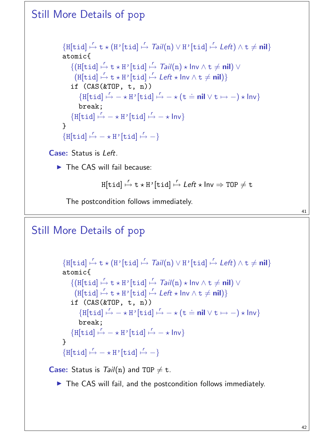### Still More Details of pop  $\{H[tid] \stackrel{r}{\mapsto} t \star (H'[tid] \stackrel{r}{\mapsto} Tail(n) \vee H'[tid] \stackrel{r}{\mapsto} Left) \wedge t \neq \textbf{nil}\}$ atomic{  ${([H[tid] \stackrel{r}{\mapsto} t \star H'[tid] \stackrel{r}{\mapsto} Tail(n) \star Inv \wedge t \neq nil)) \vee}$  $(H[tid] \stackrel{r}{\mapsto} t \star H'[tid] \stackrel{r}{\mapsto} Left \star Inv \wedge t \neq nil)$ if  $(CAS(\&TOP, t, n))$  $\{H[tid] \stackrel{r}{\mapsto} -\star H' [tid] \stackrel{r}{\mapsto} -\star (t \stackrel{.}{=} \textbf{nil} \vee t \mapsto -)\star \text{Inv}\}$ break;  $\{H[tid] \stackrel{r}{\mapsto} - \star H'[tid] \stackrel{r}{\mapsto} - \star Inv\}$ }  $\{H[tid] \stackrel{r}{\mapsto} - \star H^{\dagger}[tid] \stackrel{r}{\mapsto} - \}$ Case: Status is Left.  $\blacktriangleright$  The CAS will fail because:

 $\texttt{H}[\texttt{tid}] \stackrel{\textit{r}}{\mapsto} \texttt{t} \star \texttt{H}\texttt{'}[\texttt{tid}] \stackrel{\textit{r}}{\mapsto} \textit{Left} \star \textsf{Inv} \Rightarrow \texttt{TOP} \neq \texttt{t}$ 

The postcondition follows immediately.

Still More Details of pop

```
\{H[tid] \stackrel{r}{\mapsto} t \star (H'[tid] \stackrel{r}{\mapsto} Tail(n) \vee H'[tid] \stackrel{r}{\mapsto} Left) \wedge t \neq \textbf{nil}\}atomic{
             {([H[tid] \stackrel{r}{\mapsto} t \star H'[tid] \stackrel{r}{\mapsto} Tail(n) \star Inv \wedge t \neq nil)) \vee}(H[tid] \stackrel{r}{\mapsto} t \star H'[tid] \stackrel{r}{\mapsto} Left \star Inv \wedge t \neq nil)if (CAS(\&TOP, t, n))\{H[tid] \stackrel{r}{\mapsto} -\star H' [tid] \stackrel{r}{\mapsto} -\star (t \stackrel{.}{=} \textbf{nil} \vee t \mapsto -)\star \text{Inv}\}break;
             \{H[tid] \stackrel{r}{\mapsto} - \star H'[tid] \stackrel{r}{\mapsto} - \star Inv\}}
        \{H[tid] \stackrel{r}{\mapsto} - \star H^{\dagger}[tid] \stackrel{r}{\mapsto} - \}Case: Status is Tail(n) and TOP \neq t.
```
 $\triangleright$  The CAS will fail, and the postcondition follows immediately.

42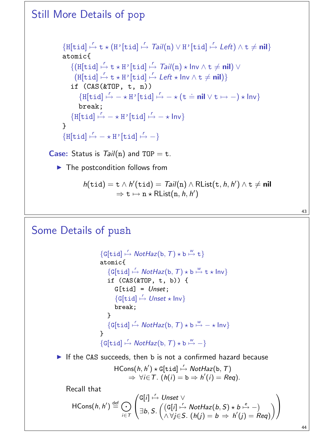Still More Details of pop  $\{H[tid] \stackrel{r}{\mapsto} t \star (H'[tid] \stackrel{r}{\mapsto} Tail(n) \vee H'[tid] \stackrel{r}{\mapsto} Left) \wedge t \neq \textbf{nil}\}$ atomic{  ${([H[tid] \stackrel{r}{\mapsto} t \star H'[tid] \stackrel{r}{\mapsto} Tail(n) \star Inv \wedge t \neq nil)) \vee}$  $(H[tid] \stackrel{r}{\mapsto} t \star H'[tid] \stackrel{r}{\mapsto} Left \star Inv \wedge t \neq nil)$ if  $(CAS(\&TOP, t, n))$  $\{H[tid] \stackrel{r}{\mapsto} -\star H' [tid] \stackrel{r}{\mapsto} -\star (t \stackrel{.}{=} \textbf{nil} \vee t \mapsto -)\star \text{Inv}\}$ break;  $\{H[tid] \stackrel{r}{\mapsto} - \star H'[tid] \stackrel{r}{\mapsto} - \star Inv\}$ }  $\{H[tid] \stackrel{r}{\mapsto} - \star H^{\dagger}[tid] \stackrel{r}{\mapsto} - \}$ **Case:** Status is  $Tail(n)$  and TOP = t.  $\blacktriangleright$  The postcondition follows from  $h(\texttt{tid}) = \texttt{t} \wedge h'(\texttt{tid}) = \textit{Tail}(\texttt{n}) \wedge \textsf{RList}(\texttt{t}, h, h') \wedge \texttt{t} \neq \textsf{nil}$  $\Rightarrow$  t  $\mapsto$  n  $\star$  RList $(n, h, h')$ 

#### Some Details of push

```
\{G[tid] \stackrel{r}{\mapsto} \text{NotHaz}(b, T) \star b \stackrel{w}{\mapsto} t\}atomic{
    \{G[tid] \stackrel{r}{\mapsto} \textit{NotHaz}(b, T) \star b \stackrel{w}{\mapsto} t \star \textit{Inv}\}if (CAS(\&TOP, t, b)) {
        G[tid] = Unset;{G[tid] \stackrel{r}{\mapsto} Unset \star Inv}break;
    }
    \{G[tid] \mapsto \text{NotHaz}(b, T) \star b \mapsto -\star \text{Inv}\}}
\{G[tid] \stackrel{r}{\mapsto} \textit{NotHaz}(b, T) \star b \stackrel{w}{\mapsto} -\}
```
If the CAS succeeds, then b is not a confirmed hazard because

$$
\mathsf{HCons}(h, h') \star \mathsf{G}[tid] \stackrel{r}{\mapsto} \mathsf{NotHaz}(b, T) \\ \Rightarrow \forall i \in \mathsf{T}. \ (h(i) = b \Rightarrow h'(i) = \mathsf{Req}).
$$

Recall that

$$
\mathsf{HCons}(h,h') \stackrel{\mathrm{def}}{=} \bigodot_{i \in \mathcal{T}} \left( \begin{matrix} \mathsf{G}[i] \stackrel{r}{\mapsto} \mathsf{Unset} \vee \\ \exists b, S. \left( \begin{matrix} (\mathsf{G}[i] \stackrel{r}{\mapsto} \mathsf{NotHaz}(b,S) \star b \stackrel{e}{\mapsto} -) \\ \wedge \forall j \in S. \end{matrix} \begin{matrix} (h(j) = b \Rightarrow h'(j) = \mathsf{Reg}) \end{matrix} \right) \right)
$$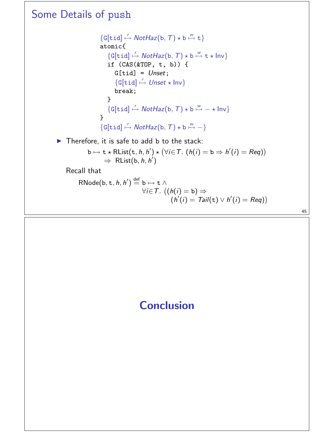#### Some Details of push  $\{G[tid] \stackrel{r}{\mapsto} \text{NotHaz}(b, T) \star b \stackrel{w}{\mapsto} t\}$ atomic{  $\{G[tid] \stackrel{r}{\mapsto} \textit{NotHaz}(b, T) \star b \stackrel{w}{\mapsto} t \star \textit{Inv}\}$ if (CAS(&TOP, t, b)) {  $G[tid] = Unset;$  ${G[tid] \stackrel{r}{\mapsto} Unset \star Inv}$ break; }  $\{G[tid] \mapsto \text{NotHaz}(b, T) \star b \mapsto -\star \text{Inv}\}$ }  $\{G[tid] \stackrel{r}{\mapsto} \textit{NotHaz}(b, T) \star b \stackrel{w}{\mapsto} -\}$  $\blacktriangleright$  Therefore, it is safe to add b to the stack:  $b \mapsto t \star RList(t, h, h') \star (\forall i \in T. (h(i) = b \Rightarrow h'(i) = Reg))$  $\Rightarrow$  RList(b, h, h') Recall that  $\mathsf{RNode}(\mathtt{b},\mathtt{t},h,h') \stackrel{\mathsf{def}}{=} \mathtt{b} \mapsto \mathtt{t} \wedge$  $\forall i$ ∈T.  $\big((h(i) = b) \Rightarrow$  $(h'(i) = Tail(t) \vee h'(i) = Reg))$

45

### **Conclusion**